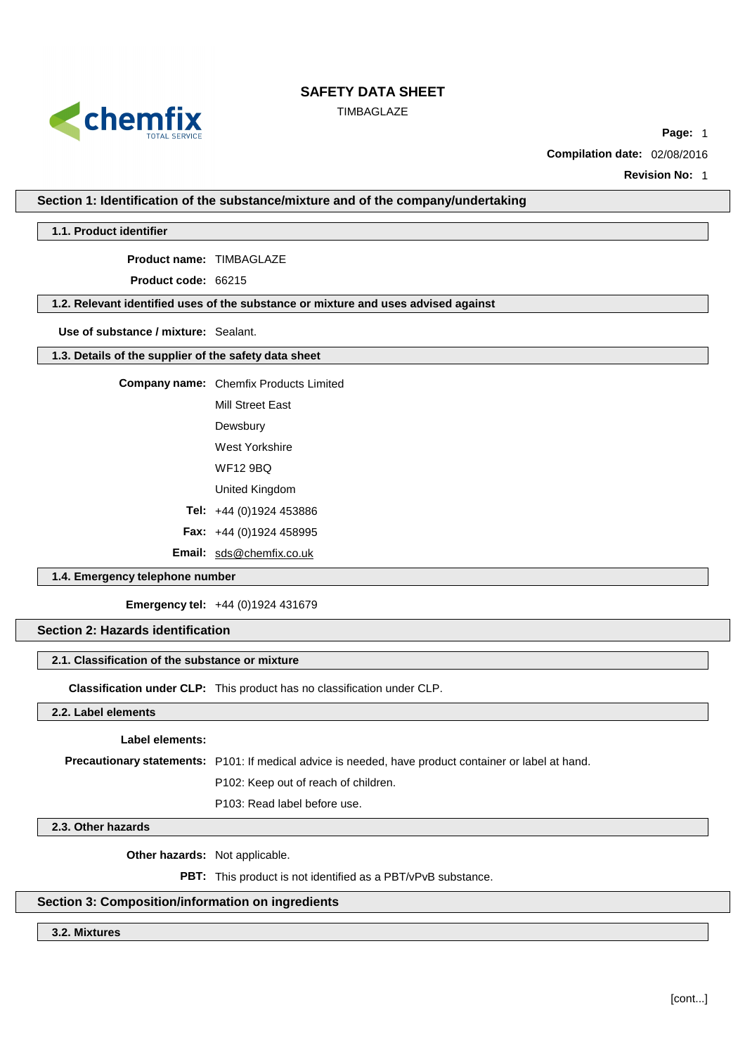

TIMBAGLAZE

**Page:** 1

**Compilation date:** 02/08/2016

**Revision No:** 1

**Section 1: Identification of the substance/mixture and of the company/undertaking**

#### **1.1. Product identifier**

**Product name:** TIMBAGLAZE

**Product code:** 66215

# **1.2. Relevant identified uses of the substance or mixture and uses advised against**

**Use of substance / mixture:** Sealant.

#### **1.3. Details of the supplier of the safety data sheet**

**Company name:** Chemfix Products Limited

Mill Street East

Dewsbury

West Yorkshire

WF12 9BQ

United Kingdom

**Tel:** +44 (0)1924 453886

**Fax:** +44 (0)1924 458995

**Email:** [sds@chemfix.co.uk](mailto:sds@chemfix.co.uk)

#### **1.4. Emergency telephone number**

**Emergency tel:** +44 (0)1924 431679

# **Section 2: Hazards identification**

#### **2.1. Classification of the substance or mixture**

**Classification under CLP:** This product has no classification under CLP.

# **2.2. Label elements**

#### **Label elements:**

**Precautionary statements:** P101: If medical advice is needed, have product container or label at hand.

P102: Keep out of reach of children.

P103: Read label before use.

# **2.3. Other hazards**

**Other hazards:** Not applicable.

**PBT:** This product is not identified as a PBT/vPvB substance.

# **Section 3: Composition/information on ingredients**

# **3.2. Mixtures**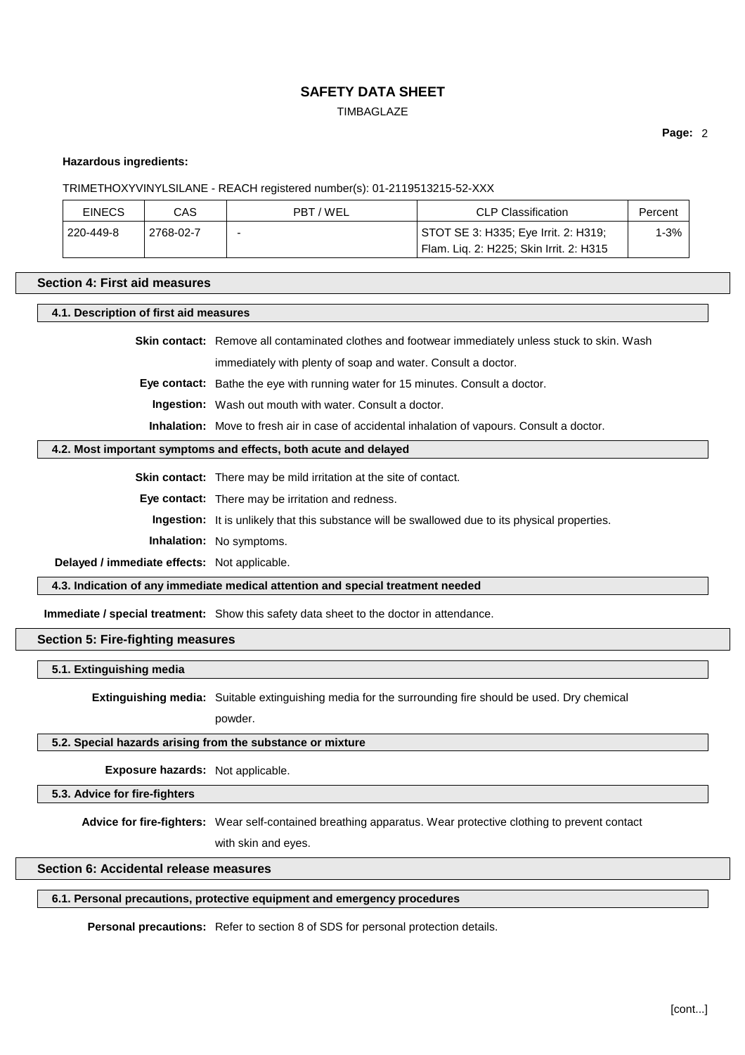**TIMBAGLAZE** 

**Page:** 2

# **Hazardous ingredients:**

#### TRIMETHOXYVINYLSILANE - REACH registered number(s): 01-2119513215-52-XXX

| <b>EINECS</b> | CAS       | PBT / WEL | CLP Classification                      | Percent |
|---------------|-----------|-----------|-----------------------------------------|---------|
| 220-449-8     | 2768-02-7 |           | STOT SE 3: H335; Eye Irrit. 2: H319;    | l-3%    |
|               |           |           | Flam. Lig. 2: H225; Skin Irrit. 2: H315 |         |

# **Section 4: First aid measures**

**4.1. Description of first aid measures**

**Skin contact:** Remove all contaminated clothes and footwear immediately unless stuck to skin. Wash immediately with plenty of soap and water. Consult a doctor.

**Eye contact:** Bathe the eye with running water for 15 minutes. Consult a doctor.

**Ingestion:** Wash out mouth with water. Consult a doctor.

**Inhalation:** Move to fresh air in case of accidental inhalation of vapours. Consult a doctor.

#### **4.2. Most important symptoms and effects, both acute and delayed**

**Skin contact:** There may be mild irritation at the site of contact.

**Eye contact:** There may be irritation and redness.

**Ingestion:** It is unlikely that this substance will be swallowed due to its physical properties.

**Inhalation:** No symptoms.

**Delayed / immediate effects:** Not applicable.

**4.3. Indication of any immediate medical attention and special treatment needed**

**Immediate / special treatment:** Show this safety data sheet to the doctor in attendance.

# **Section 5: Fire-fighting measures**

**5.1. Extinguishing media**

**Extinguishing media:** Suitable extinguishing media for the surrounding fire should be used. Dry chemical

powder.

#### **5.2. Special hazards arising from the substance or mixture**

**Exposure hazards:** Not applicable.

**5.3. Advice for fire-fighters**

**Advice for fire-fighters:** Wear self-contained breathing apparatus. Wear protective clothing to prevent contact

with skin and eyes.

# **Section 6: Accidental release measures**

# **6.1. Personal precautions, protective equipment and emergency procedures**

**Personal precautions:** Refer to section 8 of SDS for personal protection details.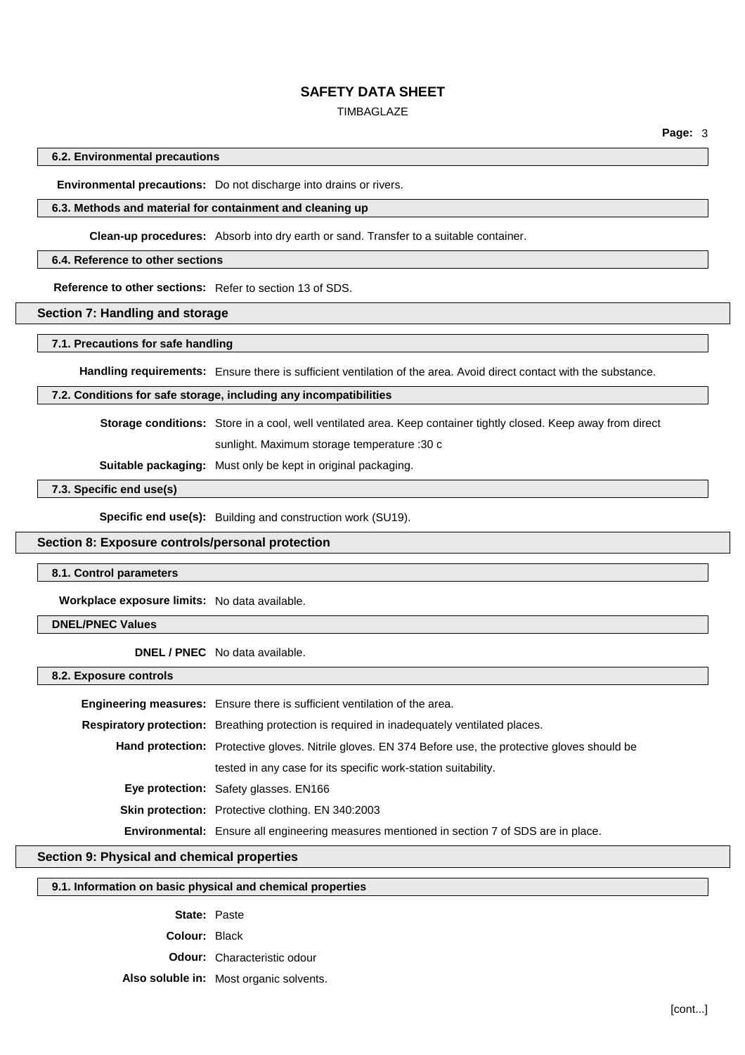#### TIMBAGLAZE

**Page:** 3

#### **6.2. Environmental precautions**

**Environmental precautions:** Do not discharge into drains or rivers.

# **6.3. Methods and material for containment and cleaning up**

**Clean-up procedures:** Absorb into dry earth or sand. Transfer to a suitable container.

#### **6.4. Reference to other sections**

**Reference to other sections:** Refer to section 13 of SDS.

# **Section 7: Handling and storage**

#### **7.1. Precautions for safe handling**

**Handling requirements:** Ensure there is sufficient ventilation of the area. Avoid direct contact with the substance.

### **7.2. Conditions for safe storage, including any incompatibilities**

**Storage conditions:** Store in a cool, well ventilated area. Keep container tightly closed. Keep away from direct

sunlight. Maximum storage temperature :30 c

**Suitable packaging:** Must only be kept in original packaging.

### **7.3. Specific end use(s)**

**Specific end use(s):** Building and construction work (SU19).

# **Section 8: Exposure controls/personal protection**

#### **8.1. Control parameters**

**Workplace exposure limits:** No data available.

# **DNEL/PNEC Values**

**DNEL / PNEC** No data available.

**8.2. Exposure controls**

| Engineering measures: Ensure there is sufficient ventilation of the area.                                     |
|---------------------------------------------------------------------------------------------------------------|
| <b>Respiratory protection:</b> Breathing protection is required in inadequately ventilated places.            |
| <b>Hand protection:</b> Protective gloves. Nitrile gloves. EN 374 Before use, the protective gloves should be |
| tested in any case for its specific work-station suitability.                                                 |
| <b>Eye protection:</b> Safety glasses. EN166                                                                  |
| <b>Skin protection:</b> Protective clothing. EN 340:2003                                                      |
| Environmental: Ensure all engineering measures mentioned in section 7 of SDS are in place.                    |

# **Section 9: Physical and chemical properties**

# **9.1. Information on basic physical and chemical properties**

**State:** Paste **Colour:** Black **Odour:** Characteristic odour **Also soluble in:** Most organic solvents.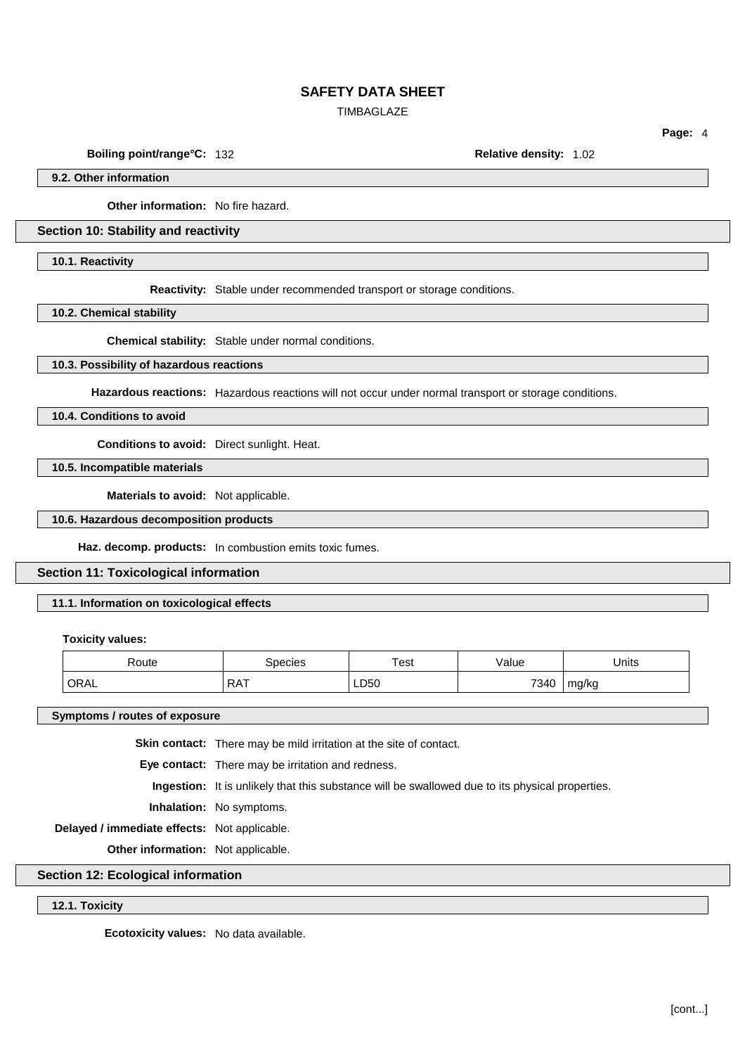TIMBAGLAZE

**Boiling point/range°C:** 132 **Relative density:** 1.02

**Page:** 4

**9.2. Other information**

**Other information:** No fire hazard.

**Section 10: Stability and reactivity**

**10.1. Reactivity**

**Reactivity:** Stable under recommended transport or storage conditions.

**10.2. Chemical stability**

**Chemical stability:** Stable under normal conditions.

### **10.3. Possibility of hazardous reactions**

**Hazardous reactions:** Hazardous reactions will not occur under normal transport or storage conditions.

**10.4. Conditions to avoid**

**Conditions to avoid:** Direct sunlight. Heat.

**10.5. Incompatible materials**

**Materials to avoid:** Not applicable.

**10.6. Hazardous decomposition products**

**Haz. decomp. products:** In combustion emits toxic fumes.

### **Section 11: Toxicological information**

# **11.1. Information on toxicological effects**

**Toxicity values:**

| Route | Species           | Test | /alue | Units |
|-------|-------------------|------|-------|-------|
| ORAL  | DAT<br>$\sqrt{2}$ | LD50 | 7340  | mg/kg |

**Symptoms / routes of exposure**

**Skin contact:** There may be mild irritation at the site of contact.

**Eye contact:** There may be irritation and redness.

**Ingestion:** It is unlikely that this substance will be swallowed due to its physical properties.

**Inhalation:** No symptoms.

**Delayed / immediate effects:** Not applicable.

**Other information:** Not applicable.

**Section 12: Ecological information**

**12.1. Toxicity**

**Ecotoxicity values:** No data available.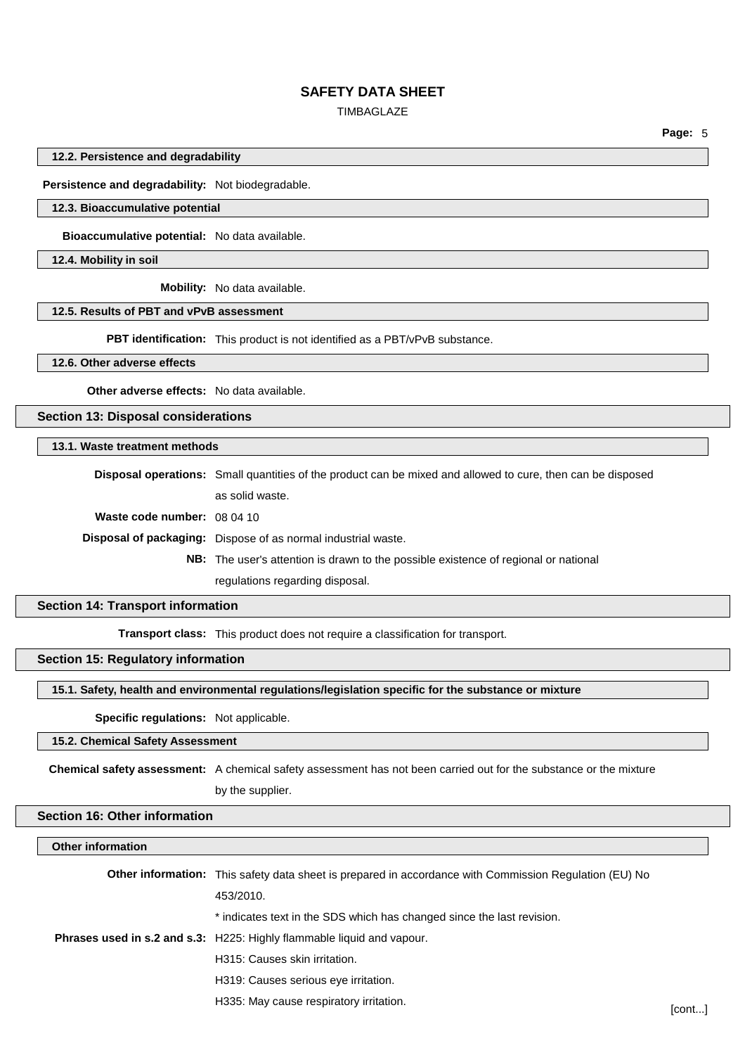### TIMBAGLAZE

**Page:** 5

### **12.2. Persistence and degradability**

**Persistence and degradability:** Not biodegradable.

## **12.3. Bioaccumulative potential**

**Bioaccumulative potential:** No data available.

**12.4. Mobility in soil**

**Mobility:** No data available.

# **12.5. Results of PBT and vPvB assessment**

**PBT identification:** This product is not identified as a PBT/vPvB substance.

# **12.6. Other adverse effects**

**Other adverse effects:** No data available.

**Section 13: Disposal considerations**

### **13.1. Waste treatment methods**

**Disposal operations:** Small quantities of the product can be mixed and allowed to cure, then can be disposed as solid waste. **Waste code number:** 08 04 10 **Disposal of packaging:** Dispose of as normal industrial waste. **NB:** The user's attention is drawn to the possible existence of regional or national regulations regarding disposal.

# **Section 14: Transport information**

**Transport class:** This product does not require a classification for transport.

# **Section 15: Regulatory information**

**15.1. Safety, health and environmental regulations/legislation specific for the substance or mixture**

#### **Specific regulations:** Not applicable.

### **15.2. Chemical Safety Assessment**

**Chemical safety assessment:** A chemical safety assessment has not been carried out for the substance or the mixture

# by the supplier.

#### **Section 16: Other information**

| <b>Other information</b> |                                                                                                               |        |
|--------------------------|---------------------------------------------------------------------------------------------------------------|--------|
|                          | <b>Other information:</b> This safety data sheet is prepared in accordance with Commission Regulation (EU) No |        |
|                          | 453/2010.                                                                                                     |        |
|                          | * indicates text in the SDS which has changed since the last revision.                                        |        |
|                          | <b>Phrases used in s.2 and s.3:</b> H225: Highly flammable liquid and vapour.                                 |        |
|                          | H315: Causes skin irritation.                                                                                 |        |
|                          | H319: Causes serious eye irritation.                                                                          |        |
|                          | H335: May cause respiratory irritation.                                                                       | [cont] |